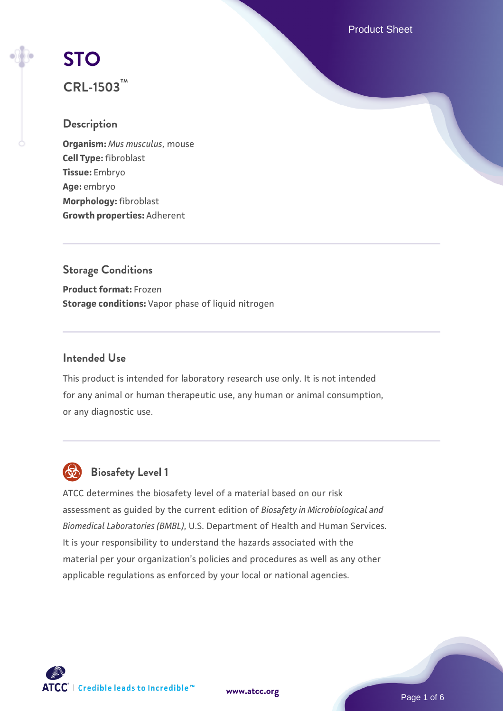Product Sheet

# **[STO](https://www.atcc.org/products/crl-1503)**

# **CRL-1503™**

# **Description**

**Organism:** *Mus musculus*, mouse **Cell Type:** fibroblast **Tissue:** Embryo **Age:** embryo **Morphology:** fibroblast **Growth properties:** Adherent

# **Storage Conditions Product format:** Frozen **Storage conditions:** Vapor phase of liquid nitrogen

# **Intended Use**

This product is intended for laboratory research use only. It is not intended for any animal or human therapeutic use, any human or animal consumption, or any diagnostic use.



# **Biosafety Level 1**

ATCC determines the biosafety level of a material based on our risk assessment as guided by the current edition of *Biosafety in Microbiological and Biomedical Laboratories (BMBL)*, U.S. Department of Health and Human Services. It is your responsibility to understand the hazards associated with the material per your organization's policies and procedures as well as any other applicable regulations as enforced by your local or national agencies.

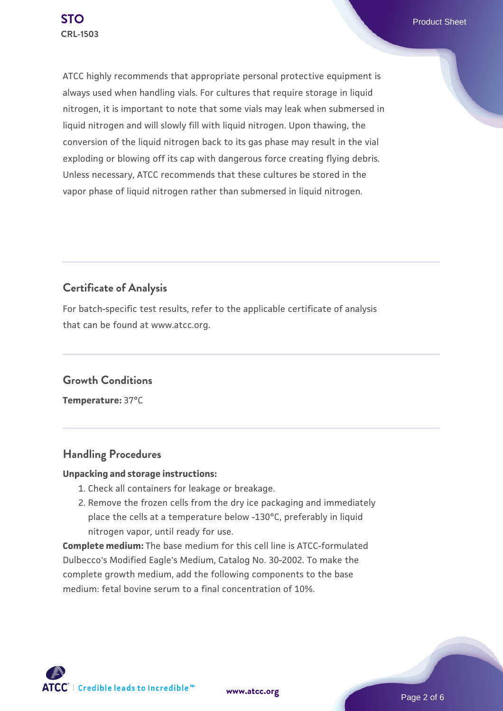ATCC highly recommends that appropriate personal protective equipment is always used when handling vials. For cultures that require storage in liquid nitrogen, it is important to note that some vials may leak when submersed in liquid nitrogen and will slowly fill with liquid nitrogen. Upon thawing, the conversion of the liquid nitrogen back to its gas phase may result in the vial exploding or blowing off its cap with dangerous force creating flying debris. Unless necessary, ATCC recommends that these cultures be stored in the vapor phase of liquid nitrogen rather than submersed in liquid nitrogen.

# **Certificate of Analysis**

For batch-specific test results, refer to the applicable certificate of analysis that can be found at www.atcc.org.

# **Growth Conditions**

**Temperature:** 37°C

# **Handling Procedures**

#### **Unpacking and storage instructions:**

- 1. Check all containers for leakage or breakage.
- 2. Remove the frozen cells from the dry ice packaging and immediately place the cells at a temperature below -130°C, preferably in liquid nitrogen vapor, until ready for use.

**Complete medium:** The base medium for this cell line is ATCC-formulated Dulbecco's Modified Eagle's Medium, Catalog No. 30-2002. To make the complete growth medium, add the following components to the base medium: fetal bovine serum to a final concentration of 10%.

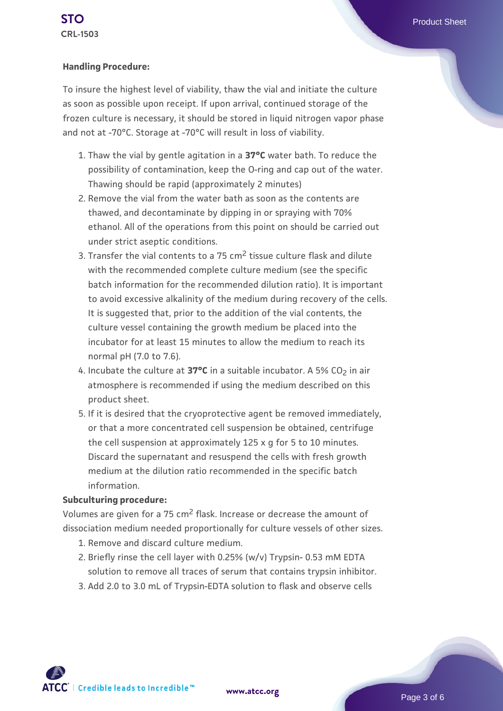#### **Handling Procedure:**

To insure the highest level of viability, thaw the vial and initiate the culture as soon as possible upon receipt. If upon arrival, continued storage of the frozen culture is necessary, it should be stored in liquid nitrogen vapor phase and not at -70°C. Storage at -70°C will result in loss of viability.

- 1. Thaw the vial by gentle agitation in a **37°C** water bath. To reduce the possibility of contamination, keep the O-ring and cap out of the water. Thawing should be rapid (approximately 2 minutes)
- 2. Remove the vial from the water bath as soon as the contents are thawed, and decontaminate by dipping in or spraying with 70% ethanol. All of the operations from this point on should be carried out under strict aseptic conditions.
- 3. Transfer the vial contents to a 75 cm<sup>2</sup> tissue culture flask and dilute with the recommended complete culture medium (see the specific batch information for the recommended dilution ratio). It is important to avoid excessive alkalinity of the medium during recovery of the cells. It is suggested that, prior to the addition of the vial contents, the culture vessel containing the growth medium be placed into the incubator for at least 15 minutes to allow the medium to reach its normal pH (7.0 to 7.6).
- 4. Incubate the culture at **37°C** in a suitable incubator. A 5% CO<sub>2</sub> in air atmosphere is recommended if using the medium described on this product sheet.
- 5. If it is desired that the cryoprotective agent be removed immediately, or that a more concentrated cell suspension be obtained, centrifuge the cell suspension at approximately 125 x g for 5 to 10 minutes. Discard the supernatant and resuspend the cells with fresh growth medium at the dilution ratio recommended in the specific batch information.

#### **Subculturing procedure:**

Volumes are given for a 75 cm2 flask. Increase or decrease the amount of dissociation medium needed proportionally for culture vessels of other sizes.

- 1. Remove and discard culture medium.
- 2. Briefly rinse the cell layer with 0.25% (w/v) Trypsin- 0.53 mM EDTA solution to remove all traces of serum that contains trypsin inhibitor.
- 3. Add 2.0 to 3.0 mL of Trypsin-EDTA solution to flask and observe cells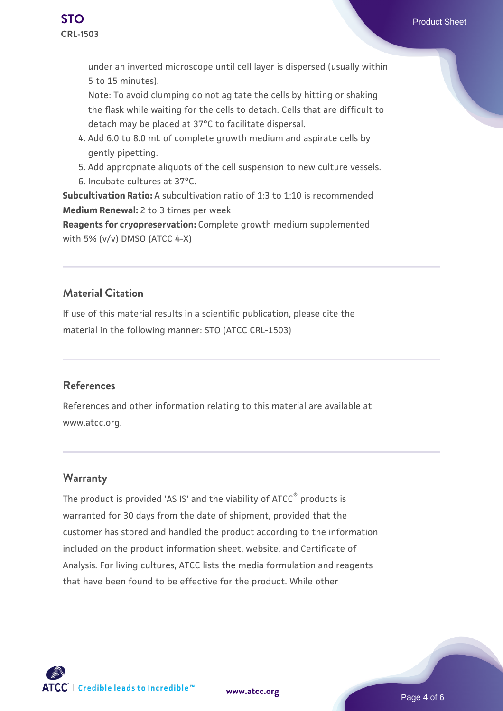

under an inverted microscope until cell layer is dispersed (usually within 5 to 15 minutes).

Note: To avoid clumping do not agitate the cells by hitting or shaking the flask while waiting for the cells to detach. Cells that are difficult to detach may be placed at 37°C to facilitate dispersal.

- Add 6.0 to 8.0 mL of complete growth medium and aspirate cells by 4. gently pipetting.
- 5. Add appropriate aliquots of the cell suspension to new culture vessels.
- 6. Incubate cultures at 37°C.

**Subcultivation Ratio:** A subcultivation ratio of 1:3 to 1:10 is recommended **Medium Renewal:** 2 to 3 times per week

**Reagents for cryopreservation:** Complete growth medium supplemented with 5% (v/v) DMSO (ATCC 4-X)

# **Material Citation**

If use of this material results in a scientific publication, please cite the material in the following manner: STO (ATCC CRL-1503)

## **References**

References and other information relating to this material are available at www.atcc.org.

# **Warranty**

The product is provided 'AS IS' and the viability of ATCC<sup>®</sup> products is warranted for 30 days from the date of shipment, provided that the customer has stored and handled the product according to the information included on the product information sheet, website, and Certificate of Analysis. For living cultures, ATCC lists the media formulation and reagents that have been found to be effective for the product. While other

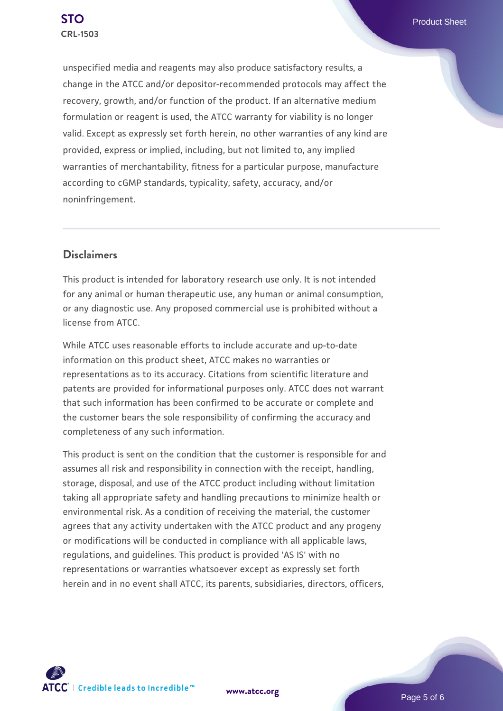unspecified media and reagents may also produce satisfactory results, a change in the ATCC and/or depositor-recommended protocols may affect the recovery, growth, and/or function of the product. If an alternative medium formulation or reagent is used, the ATCC warranty for viability is no longer valid. Except as expressly set forth herein, no other warranties of any kind are provided, express or implied, including, but not limited to, any implied warranties of merchantability, fitness for a particular purpose, manufacture according to cGMP standards, typicality, safety, accuracy, and/or noninfringement.

## **Disclaimers**

This product is intended for laboratory research use only. It is not intended for any animal or human therapeutic use, any human or animal consumption, or any diagnostic use. Any proposed commercial use is prohibited without a license from ATCC.

While ATCC uses reasonable efforts to include accurate and up-to-date information on this product sheet, ATCC makes no warranties or representations as to its accuracy. Citations from scientific literature and patents are provided for informational purposes only. ATCC does not warrant that such information has been confirmed to be accurate or complete and the customer bears the sole responsibility of confirming the accuracy and completeness of any such information.

This product is sent on the condition that the customer is responsible for and assumes all risk and responsibility in connection with the receipt, handling, storage, disposal, and use of the ATCC product including without limitation taking all appropriate safety and handling precautions to minimize health or environmental risk. As a condition of receiving the material, the customer agrees that any activity undertaken with the ATCC product and any progeny or modifications will be conducted in compliance with all applicable laws, regulations, and guidelines. This product is provided 'AS IS' with no representations or warranties whatsoever except as expressly set forth herein and in no event shall ATCC, its parents, subsidiaries, directors, officers,